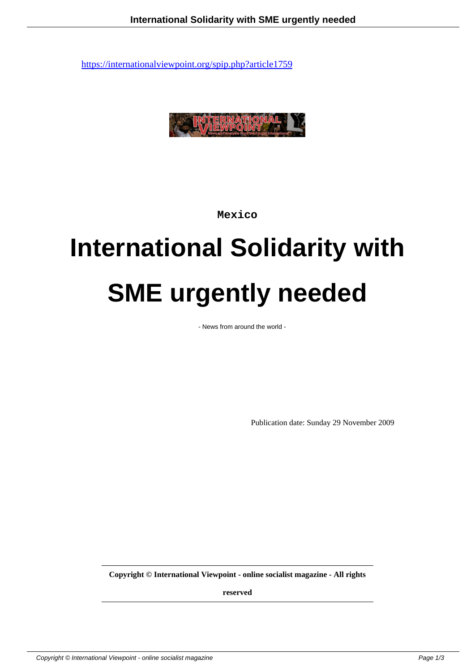

**Mexico**

# **International Solidarity with SME urgently needed**

- News from around the world -

Publication date: Sunday 29 November 2009

**Copyright © International Viewpoint - online socialist magazine - All rights**

**reserved**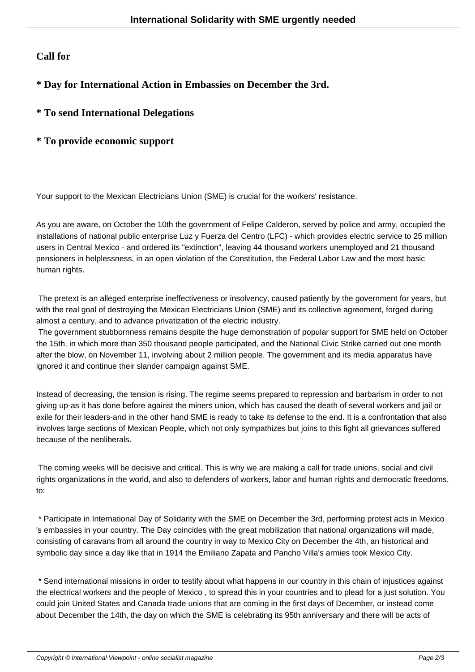#### **Call for**

### **\* Day for International Action in Embassies on December the 3rd.**

## **\* To send International Delegations**

#### **\* To provide economic support**

Your support to the Mexican Electricians Union (SME) is crucial for the workers' resistance.

As you are aware, on October the 10th the government of Felipe Calderon, served by police and army, occupied the installations of national public enterprise Luz y Fuerza del Centro (LFC) - which provides electric service to 25 million users in Central Mexico - and ordered its "extinction", leaving 44 thousand workers unemployed and 21 thousand pensioners in helplessness, in an open violation of the Constitution, the Federal Labor Law and the most basic human rights.

 The pretext is an alleged enterprise ineffectiveness or insolvency, caused patiently by the government for years, but with the real goal of destroying the Mexican Electricians Union (SME) and its collective agreement, forged during almost a century, and to advance privatization of the electric industry.

 The government stubbornness remains despite the huge demonstration of popular support for SME held on October the 15th, in which more than 350 thousand people participated, and the National Civic Strike carried out one month after the blow, on November 11, involving about 2 million people. The government and its media apparatus have ignored it and continue their slander campaign against SME.

Instead of decreasing, the tension is rising. The regime seems prepared to repression and barbarism in order to not giving up-as it has done before against the miners union, which has caused the death of several workers and jail or exile for their leaders-and in the other hand SME is ready to take its defense to the end. It is a confrontation that also involves large sections of Mexican People, which not only sympathizes but joins to this fight all grievances suffered because of the neoliberals.

 The coming weeks will be decisive and critical. This is why we are making a call for trade unions, social and civil rights organizations in the world, and also to defenders of workers, labor and human rights and democratic freedoms, to:

 \* Participate in International Day of Solidarity with the SME on December the 3rd, performing protest acts in Mexico 's embassies in your country. The Day coincides with the great mobilization that national organizations will made, consisting of caravans from all around the country in way to Mexico City on December the 4th, an historical and symbolic day since a day like that in 1914 the Emiliano Zapata and Pancho Villa's armies took Mexico City.

 \* Send international missions in order to testify about what happens in our country in this chain of injustices against the electrical workers and the people of Mexico , to spread this in your countries and to plead for a just solution. You could join United States and Canada trade unions that are coming in the first days of December, or instead come about December the 14th, the day on which the SME is celebrating its 95th anniversary and there will be acts of